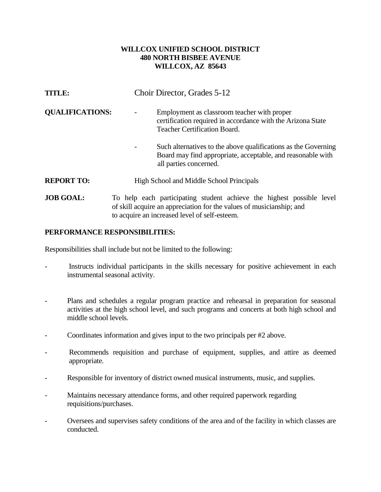## **WILLCOX UNIFIED SCHOOL DISTRICT 480 NORTH BISBEE AVENUE WILLCOX, AZ 85643**

| <b>TITLE:</b>          | Choir Director, Grades 5-12                                                                                                                             |
|------------------------|---------------------------------------------------------------------------------------------------------------------------------------------------------|
| <b>QUALIFICATIONS:</b> | Employment as classroom teacher with proper<br>certification required in accordance with the Arizona State<br><b>Teacher Certification Board.</b>       |
|                        | Such alternatives to the above qualifications as the Governing<br>Board may find appropriate, acceptable, and reasonable with<br>all parties concerned. |
| <b>REPORT TO:</b>      | High School and Middle School Principals                                                                                                                |
| <b>JOB GOAL:</b>       | To help each participating student achieve the highest possible level<br>of skill acquire an appreciation for the values of musicianship; and           |

## **PERFORMANCE RESPONSIBILITIES:**

Responsibilities shall include but not be limited to the following:

Instructs individual participants in the skills necessary for positive achievement in each instrumental seasonal activity.

to acquire an increased level of self-esteem.

- Plans and schedules a regular program practice and rehearsal in preparation for seasonal activities at the high school level, and such programs and concerts at both high school and middle school levels.
- Coordinates information and gives input to the two principals per #2 above.
- Recommends requisition and purchase of equipment, supplies, and attire as deemed appropriate.
- Responsible for inventory of district owned musical instruments, music, and supplies.
- Maintains necessary attendance forms, and other required paperwork regarding requisitions/purchases.
- Oversees and supervises safety conditions of the area and of the facility in which classes are conducted.